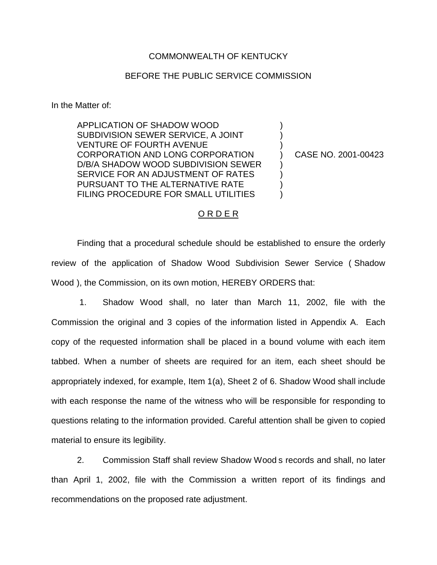## COMMONWEALTH OF KENTUCKY

## BEFORE THE PUBLIC SERVICE COMMISSION

In the Matter of:

APPLICATION OF SHADOW WOOD SUBDIVISION SEWER SERVICE, A JOINT VENTURE OF FOURTH AVENUE CORPORATION AND LONG CORPORATION D/B/A SHADOW WOOD SUBDIVISION SEWER SERVICE FOR AN ADJUSTMENT OF RATES PURSUANT TO THE ALTERNATIVE RATE FILING PROCEDURE FOR SMALL UTILITIES

) CASE NO. 2001-00423

) ) )

) ) ) )

### O R D E R

Finding that a procedural schedule should be established to ensure the orderly review of the application of Shadow Wood Subdivision Sewer Service ( Shadow Wood ), the Commission, on its own motion, HEREBY ORDERS that:

1. Shadow Wood shall, no later than March 11, 2002, file with the Commission the original and 3 copies of the information listed in Appendix A. Each copy of the requested information shall be placed in a bound volume with each item tabbed. When a number of sheets are required for an item, each sheet should be appropriately indexed, for example, Item 1(a), Sheet 2 of 6. Shadow Wood shall include with each response the name of the witness who will be responsible for responding to questions relating to the information provided. Careful attention shall be given to copied material to ensure its legibility.

2. Commission Staff shall review Shadow Wood s records and shall, no later than April 1, 2002, file with the Commission a written report of its findings and recommendations on the proposed rate adjustment.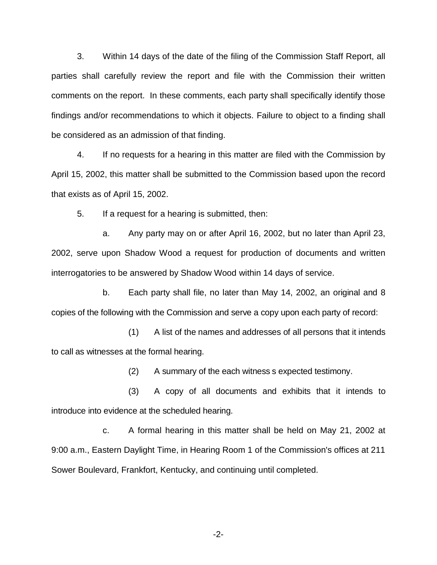3. Within 14 days of the date of the filing of the Commission Staff Report, all parties shall carefully review the report and file with the Commission their written comments on the report. In these comments, each party shall specifically identify those findings and/or recommendations to which it objects. Failure to object to a finding shall be considered as an admission of that finding.

4. If no requests for a hearing in this matter are filed with the Commission by April 15, 2002, this matter shall be submitted to the Commission based upon the record that exists as of April 15, 2002.

5. If a request for a hearing is submitted, then:

a. Any party may on or after April 16, 2002, but no later than April 23, 2002, serve upon Shadow Wood a request for production of documents and written interrogatories to be answered by Shadow Wood within 14 days of service.

b. Each party shall file, no later than May 14, 2002, an original and 8 copies of the following with the Commission and serve a copy upon each party of record:

(1) A list of the names and addresses of all persons that it intends to call as witnesses at the formal hearing.

(2) A summary of the each witness s expected testimony.

(3) A copy of all documents and exhibits that it intends to introduce into evidence at the scheduled hearing.

c. A formal hearing in this matter shall be held on May 21, 2002 at 9:00 a.m., Eastern Daylight Time, in Hearing Room 1 of the Commission's offices at 211 Sower Boulevard, Frankfort, Kentucky, and continuing until completed.

-2-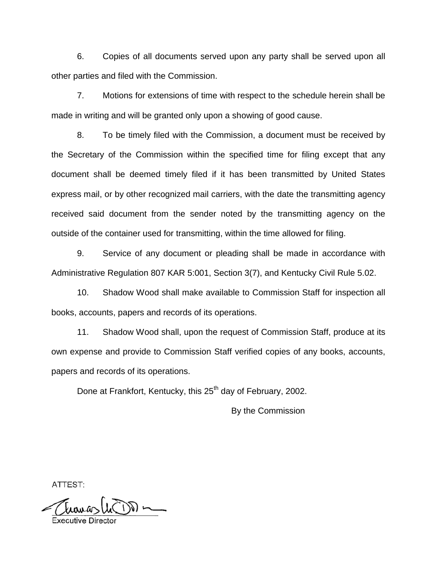6. Copies of all documents served upon any party shall be served upon all other parties and filed with the Commission.

7. Motions for extensions of time with respect to the schedule herein shall be made in writing and will be granted only upon a showing of good cause.

8. To be timely filed with the Commission, a document must be received by the Secretary of the Commission within the specified time for filing except that any document shall be deemed timely filed if it has been transmitted by United States express mail, or by other recognized mail carriers, with the date the transmitting agency received said document from the sender noted by the transmitting agency on the outside of the container used for transmitting, within the time allowed for filing.

9. Service of any document or pleading shall be made in accordance with Administrative Regulation 807 KAR 5:001, Section 3(7), and Kentucky Civil Rule 5.02.

10. Shadow Wood shall make available to Commission Staff for inspection all books, accounts, papers and records of its operations.

11. Shadow Wood shall, upon the request of Commission Staff, produce at its own expense and provide to Commission Staff verified copies of any books, accounts, papers and records of its operations.

Done at Frankfort, Kentucky, this 25<sup>th</sup> day of February, 2002.

By the Commission

ATTEST:

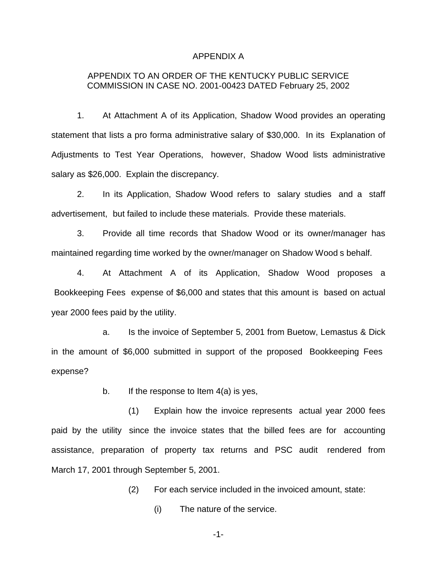#### APPENDIX A

# APPENDIX TO AN ORDER OF THE KENTUCKY PUBLIC SERVICE COMMISSION IN CASE NO. 2001-00423 DATED February 25, 2002

1. At Attachment A of its Application, Shadow Wood provides an operating statement that lists a pro forma administrative salary of \$30,000. In its Explanation of Adjustments to Test Year Operations, however, Shadow Wood lists administrative salary as \$26,000. Explain the discrepancy.

2. In its Application, Shadow Wood refers to salary studies and a staff advertisement, but failed to include these materials. Provide these materials.

3. Provide all time records that Shadow Wood or its owner/manager has maintained regarding time worked by the owner/manager on Shadow Wood s behalf.

4. At Attachment A of its Application, Shadow Wood proposes a Bookkeeping Fees expense of \$6,000 and states that this amount is based on actual year 2000 fees paid by the utility.

a. Is the invoice of September 5, 2001 from Buetow, Lemastus & Dick in the amount of \$6,000 submitted in support of the proposed Bookkeeping Fees expense?

b. If the response to Item  $4(a)$  is yes,

(1) Explain how the invoice represents actual year 2000 fees paid by the utility since the invoice states that the billed fees are for accounting assistance, preparation of property tax returns and PSC audit rendered from March 17, 2001 through September 5, 2001.

(2) For each service included in the invoiced amount, state:

(i) The nature of the service.

-1-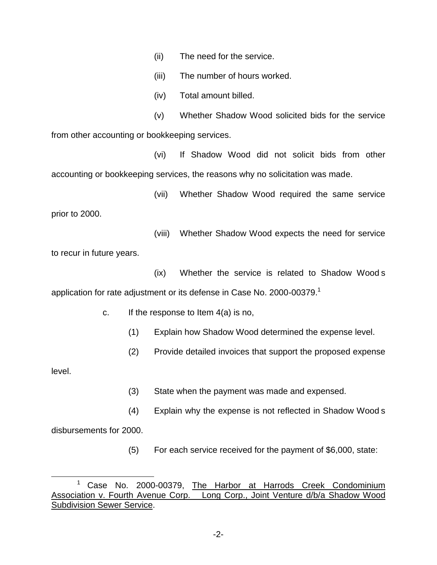(ii) The need for the service.

(iii) The number of hours worked.

(iv) Total amount billed.

(v) Whether Shadow Wood solicited bids for the service from other accounting or bookkeeping services.

(vi) If Shadow Wood did not solicit bids from other accounting or bookkeeping services, the reasons why no solicitation was made.

(vii) Whether Shadow Wood required the same service

prior to 2000.

(viii) Whether Shadow Wood expects the need for service

to recur in future years.

(ix) Whether the service is related to Shadow Wood s application for rate adjustment or its defense in Case No. 2000-00379.<sup>1</sup>

c. If the response to Item 4(a) is no,

(1) Explain how Shadow Wood determined the expense level.

(2) Provide detailed invoices that support the proposed expense

level.

(3) State when the payment was made and expensed.

(4) Explain why the expense is not reflected in Shadow Wood s

disbursements for 2000.

(5) For each service received for the payment of \$6,000, state:

<sup>&</sup>lt;sup>1</sup> Case No. 2000-00379, The Harbor at Harrods Creek Condominium Association v. Fourth Avenue Corp. Long Corp., Joint Venture d/b/a Shadow Wood Subdivision Sewer Service.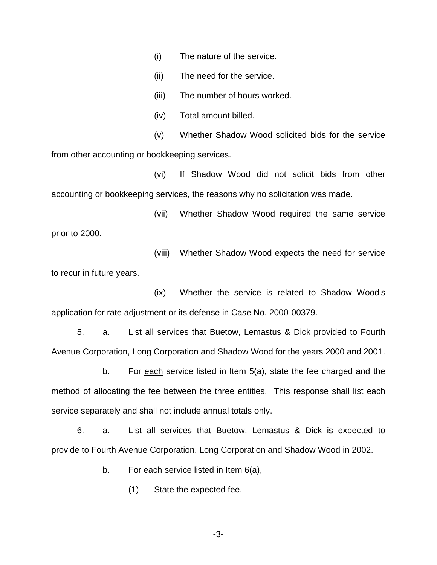(i) The nature of the service.

(ii) The need for the service.

(iii) The number of hours worked.

(iv) Total amount billed.

(v) Whether Shadow Wood solicited bids for the service from other accounting or bookkeeping services.

(vi) If Shadow Wood did not solicit bids from other accounting or bookkeeping services, the reasons why no solicitation was made.

(vii) Whether Shadow Wood required the same service prior to 2000.

(viii) Whether Shadow Wood expects the need for service to recur in future years.

(ix) Whether the service is related to Shadow Wood s application for rate adjustment or its defense in Case No. 2000-00379.

5. a. List all services that Buetow, Lemastus & Dick provided to Fourth Avenue Corporation, Long Corporation and Shadow Wood for the years 2000 and 2001.

b. For each service listed in Item 5(a), state the fee charged and the method of allocating the fee between the three entities. This response shall list each service separately and shall not include annual totals only.

6. a. List all services that Buetow, Lemastus & Dick is expected to provide to Fourth Avenue Corporation, Long Corporation and Shadow Wood in 2002.

b. For each service listed in Item  $6(a)$ ,

(1) State the expected fee.

-3-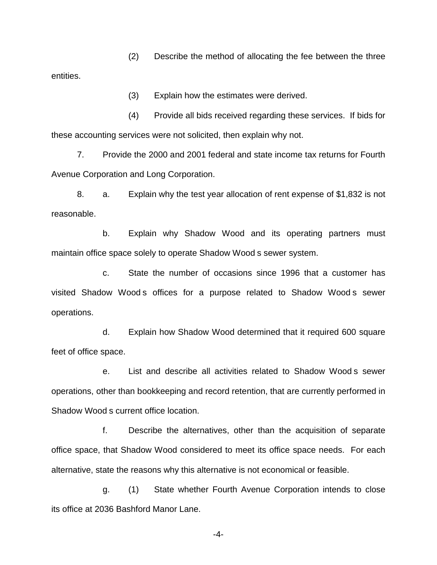(2) Describe the method of allocating the fee between the three entities.

(3) Explain how the estimates were derived.

(4) Provide all bids received regarding these services. If bids for these accounting services were not solicited, then explain why not.

7. Provide the 2000 and 2001 federal and state income tax returns for Fourth Avenue Corporation and Long Corporation.

8. a. Explain why the test year allocation of rent expense of \$1,832 is not reasonable.

b. Explain why Shadow Wood and its operating partners must maintain office space solely to operate Shadow Wood s sewer system.

c. State the number of occasions since 1996 that a customer has visited Shadow Wood s offices for a purpose related to Shadow Wood s sewer operations.

d. Explain how Shadow Wood determined that it required 600 square feet of office space.

e. List and describe all activities related to Shadow Wood s sewer operations, other than bookkeeping and record retention, that are currently performed in Shadow Wood s current office location.

f. Describe the alternatives, other than the acquisition of separate office space, that Shadow Wood considered to meet its office space needs. For each alternative, state the reasons why this alternative is not economical or feasible.

g. (1) State whether Fourth Avenue Corporation intends to close its office at 2036 Bashford Manor Lane.

-4-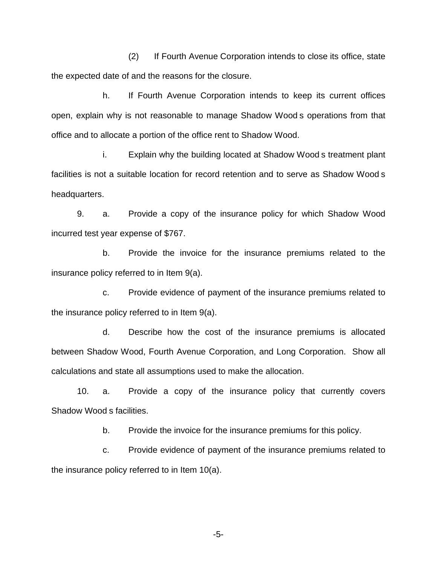(2) If Fourth Avenue Corporation intends to close its office, state the expected date of and the reasons for the closure.

h. If Fourth Avenue Corporation intends to keep its current offices open, explain why is not reasonable to manage Shadow Wood s operations from that office and to allocate a portion of the office rent to Shadow Wood.

i. Explain why the building located at Shadow Wood s treatment plant facilities is not a suitable location for record retention and to serve as Shadow Wood s headquarters.

9. a. Provide a copy of the insurance policy for which Shadow Wood incurred test year expense of \$767.

b. Provide the invoice for the insurance premiums related to the insurance policy referred to in Item 9(a).

c. Provide evidence of payment of the insurance premiums related to the insurance policy referred to in Item 9(a).

d. Describe how the cost of the insurance premiums is allocated between Shadow Wood, Fourth Avenue Corporation, and Long Corporation. Show all calculations and state all assumptions used to make the allocation.

10. a. Provide a copy of the insurance policy that currently covers Shadow Wood s facilities.

b. Provide the invoice for the insurance premiums for this policy.

c. Provide evidence of payment of the insurance premiums related to the insurance policy referred to in Item 10(a).

-5-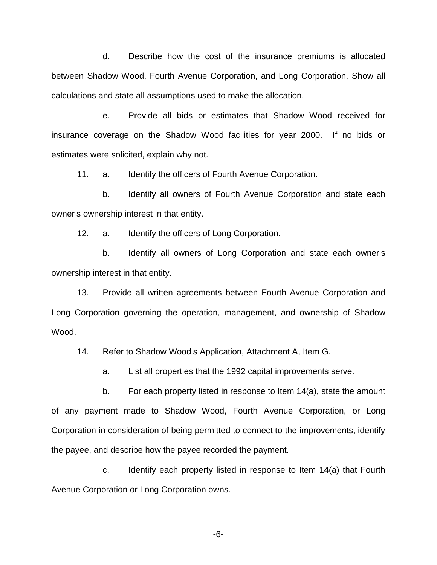d. Describe how the cost of the insurance premiums is allocated between Shadow Wood, Fourth Avenue Corporation, and Long Corporation. Show all calculations and state all assumptions used to make the allocation.

e. Provide all bids or estimates that Shadow Wood received for insurance coverage on the Shadow Wood facilities for year 2000. If no bids or estimates were solicited, explain why not.

11. a. Identify the officers of Fourth Avenue Corporation.

b. Identify all owners of Fourth Avenue Corporation and state each owner s ownership interest in that entity.

12. a. Identify the officers of Long Corporation.

b. Identify all owners of Long Corporation and state each owner s ownership interest in that entity.

13. Provide all written agreements between Fourth Avenue Corporation and Long Corporation governing the operation, management, and ownership of Shadow Wood.

14. Refer to Shadow Wood s Application, Attachment A, Item G.

a. List all properties that the 1992 capital improvements serve.

b. For each property listed in response to Item 14(a), state the amount of any payment made to Shadow Wood, Fourth Avenue Corporation, or Long Corporation in consideration of being permitted to connect to the improvements, identify the payee, and describe how the payee recorded the payment.

c. Identify each property listed in response to Item 14(a) that Fourth Avenue Corporation or Long Corporation owns.

-6-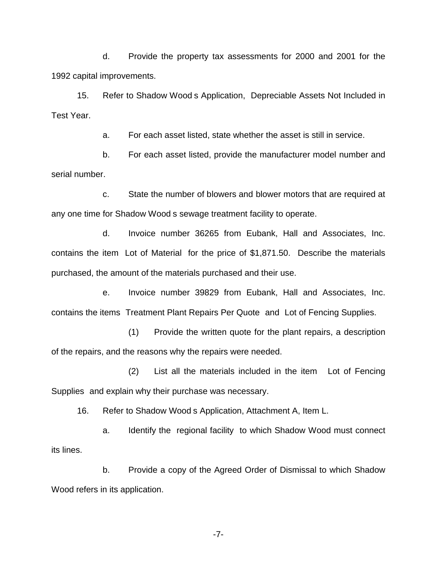d. Provide the property tax assessments for 2000 and 2001 for the 1992 capital improvements.

15. Refer to Shadow Wood s Application, Depreciable Assets Not Included in Test Year.

a. For each asset listed, state whether the asset is still in service.

b. For each asset listed, provide the manufacturer model number and serial number.

c. State the number of blowers and blower motors that are required at any one time for Shadow Wood s sewage treatment facility to operate.

d. Invoice number 36265 from Eubank, Hall and Associates, Inc. contains the item Lot of Material for the price of \$1,871.50. Describe the materials purchased, the amount of the materials purchased and their use.

e. Invoice number 39829 from Eubank, Hall and Associates, Inc. contains the items Treatment Plant Repairs Per Quote and Lot of Fencing Supplies.

(1) Provide the written quote for the plant repairs, a description of the repairs, and the reasons why the repairs were needed.

(2) List all the materials included in the item Lot of Fencing Supplies and explain why their purchase was necessary.

16. Refer to Shadow Wood s Application, Attachment A, Item L.

a. Identify the regional facility to which Shadow Wood must connect its lines.

b. Provide a copy of the Agreed Order of Dismissal to which Shadow Wood refers in its application.

-7-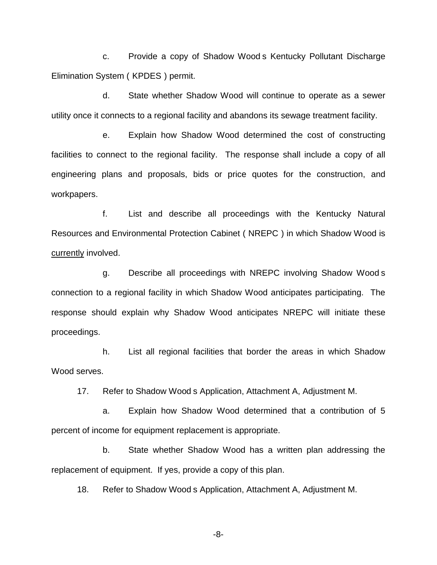c. Provide a copy of Shadow Wood s Kentucky Pollutant Discharge Elimination System ( KPDES ) permit.

d. State whether Shadow Wood will continue to operate as a sewer utility once it connects to a regional facility and abandons its sewage treatment facility.

e. Explain how Shadow Wood determined the cost of constructing facilities to connect to the regional facility. The response shall include a copy of all engineering plans and proposals, bids or price quotes for the construction, and workpapers.

f. List and describe all proceedings with the Kentucky Natural Resources and Environmental Protection Cabinet ( NREPC ) in which Shadow Wood is currently involved.

g. Describe all proceedings with NREPC involving Shadow Wood s connection to a regional facility in which Shadow Wood anticipates participating. The response should explain why Shadow Wood anticipates NREPC will initiate these proceedings.

h. List all regional facilities that border the areas in which Shadow Wood serves.

17. Refer to Shadow Wood s Application, Attachment A, Adjustment M.

a. Explain how Shadow Wood determined that a contribution of 5 percent of income for equipment replacement is appropriate.

b. State whether Shadow Wood has a written plan addressing the replacement of equipment. If yes, provide a copy of this plan.

18. Refer to Shadow Wood s Application, Attachment A, Adjustment M.

-8-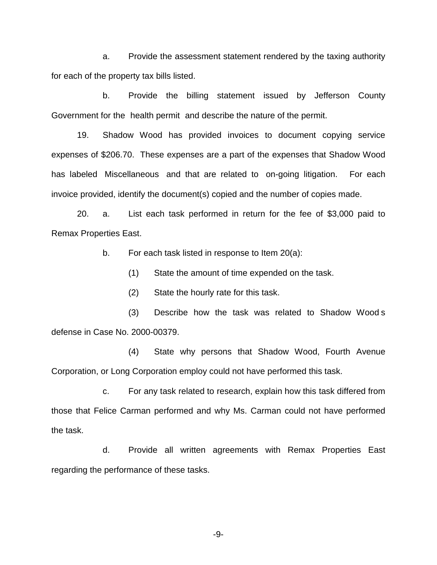a. Provide the assessment statement rendered by the taxing authority for each of the property tax bills listed.

b. Provide the billing statement issued by Jefferson County Government for the health permit and describe the nature of the permit.

19. Shadow Wood has provided invoices to document copying service expenses of \$206.70. These expenses are a part of the expenses that Shadow Wood has labeled Miscellaneous and that are related to on-going litigation. For each invoice provided, identify the document(s) copied and the number of copies made.

20. a. List each task performed in return for the fee of \$3,000 paid to Remax Properties East.

b. For each task listed in response to Item 20(a):

(1) State the amount of time expended on the task.

(2) State the hourly rate for this task.

(3) Describe how the task was related to Shadow Wood s defense in Case No. 2000-00379.

(4) State why persons that Shadow Wood, Fourth Avenue Corporation, or Long Corporation employ could not have performed this task.

c. For any task related to research, explain how this task differed from those that Felice Carman performed and why Ms. Carman could not have performed the task.

d. Provide all written agreements with Remax Properties East regarding the performance of these tasks.

-9-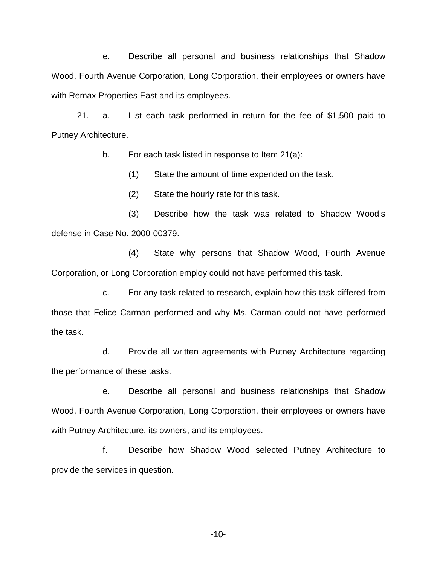e. Describe all personal and business relationships that Shadow Wood, Fourth Avenue Corporation, Long Corporation, their employees or owners have with Remax Properties East and its employees.

21. a. List each task performed in return for the fee of \$1,500 paid to Putney Architecture.

b. For each task listed in response to Item 21(a):

(1) State the amount of time expended on the task.

(2) State the hourly rate for this task.

(3) Describe how the task was related to Shadow Wood s defense in Case No. 2000-00379.

(4) State why persons that Shadow Wood, Fourth Avenue Corporation, or Long Corporation employ could not have performed this task.

c. For any task related to research, explain how this task differed from those that Felice Carman performed and why Ms. Carman could not have performed the task.

d. Provide all written agreements with Putney Architecture regarding the performance of these tasks.

e. Describe all personal and business relationships that Shadow Wood, Fourth Avenue Corporation, Long Corporation, their employees or owners have with Putney Architecture, its owners, and its employees.

f. Describe how Shadow Wood selected Putney Architecture to provide the services in question.

-10-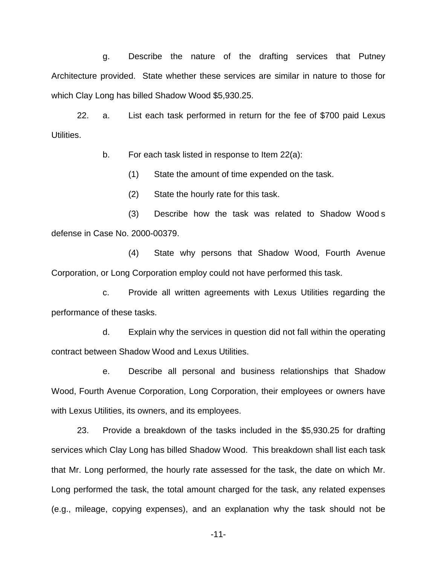g. Describe the nature of the drafting services that Putney Architecture provided. State whether these services are similar in nature to those for which Clay Long has billed Shadow Wood \$5,930.25.

22. a. List each task performed in return for the fee of \$700 paid Lexus Utilities.

b. For each task listed in response to Item 22(a):

(1) State the amount of time expended on the task.

(2) State the hourly rate for this task.

(3) Describe how the task was related to Shadow Wood s defense in Case No. 2000-00379.

(4) State why persons that Shadow Wood, Fourth Avenue Corporation, or Long Corporation employ could not have performed this task.

c. Provide all written agreements with Lexus Utilities regarding the performance of these tasks.

d. Explain why the services in question did not fall within the operating contract between Shadow Wood and Lexus Utilities.

e. Describe all personal and business relationships that Shadow Wood, Fourth Avenue Corporation, Long Corporation, their employees or owners have with Lexus Utilities, its owners, and its employees.

23. Provide a breakdown of the tasks included in the \$5,930.25 for drafting services which Clay Long has billed Shadow Wood. This breakdown shall list each task that Mr. Long performed, the hourly rate assessed for the task, the date on which Mr. Long performed the task, the total amount charged for the task, any related expenses (e.g., mileage, copying expenses), and an explanation why the task should not be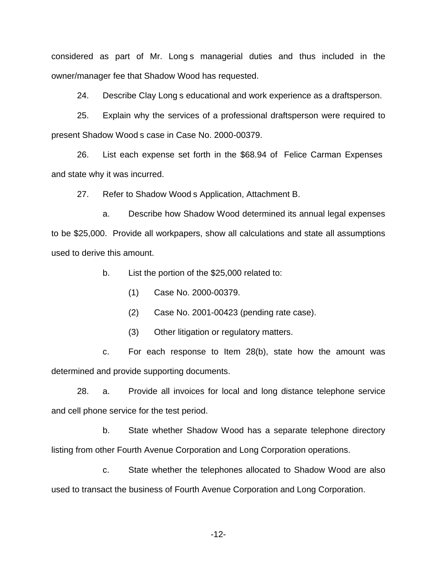considered as part of Mr. Long s managerial duties and thus included in the owner/manager fee that Shadow Wood has requested.

24. Describe Clay Long s educational and work experience as a draftsperson.

25. Explain why the services of a professional draftsperson were required to present Shadow Wood s case in Case No. 2000-00379.

26. List each expense set forth in the \$68.94 of Felice Carman Expenses and state why it was incurred.

27. Refer to Shadow Wood s Application, Attachment B.

a. Describe how Shadow Wood determined its annual legal expenses to be \$25,000. Provide all workpapers, show all calculations and state all assumptions used to derive this amount.

b. List the portion of the \$25,000 related to:

(1) Case No. 2000-00379.

(2) Case No. 2001-00423 (pending rate case).

(3) Other litigation or regulatory matters.

c. For each response to Item 28(b), state how the amount was determined and provide supporting documents.

28. a. Provide all invoices for local and long distance telephone service and cell phone service for the test period.

b. State whether Shadow Wood has a separate telephone directory listing from other Fourth Avenue Corporation and Long Corporation operations.

c. State whether the telephones allocated to Shadow Wood are also used to transact the business of Fourth Avenue Corporation and Long Corporation.

-12-